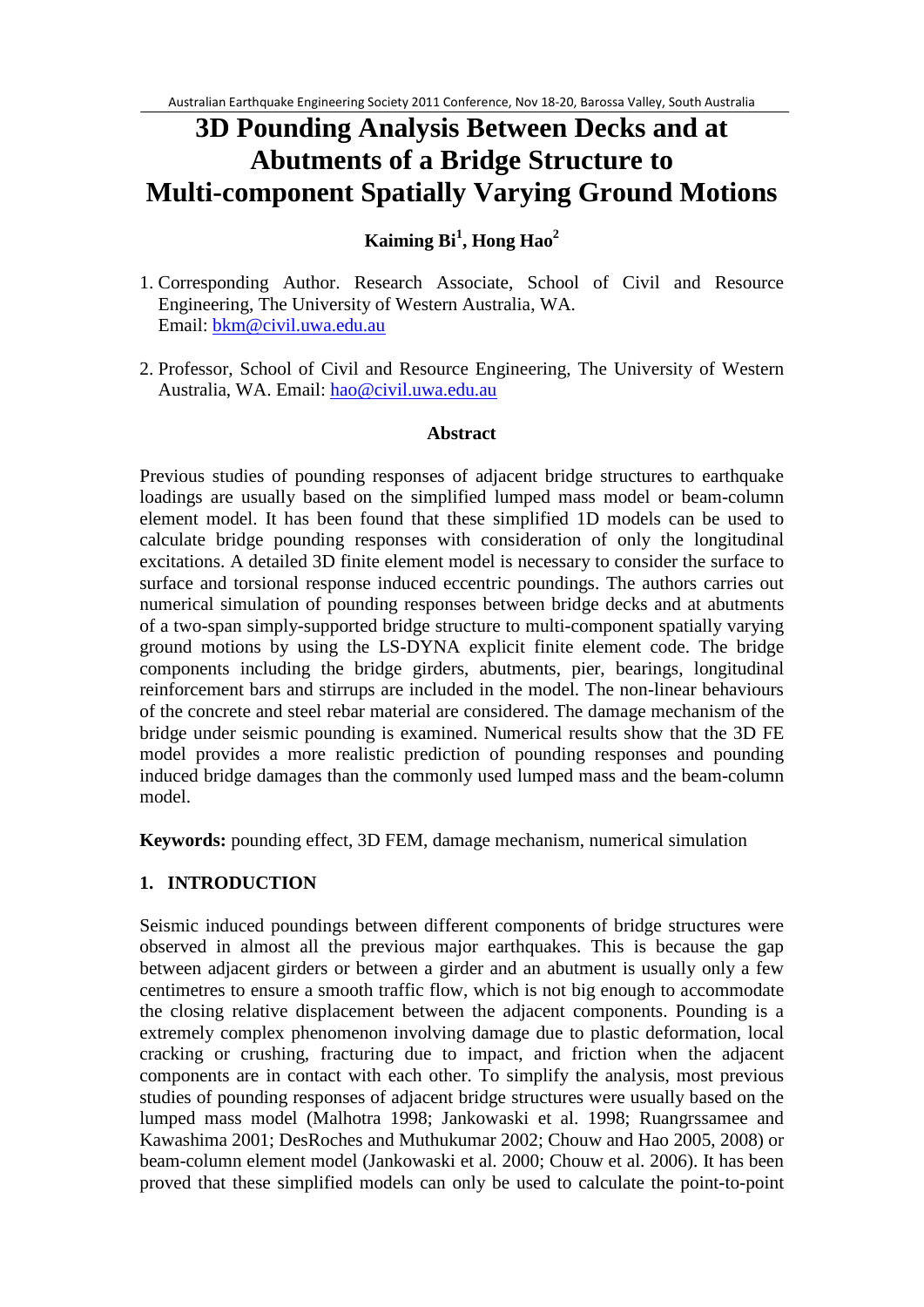# **3D Pounding Analysis Between Decks and at Abutments of a Bridge Structure to Multi-component Spatially Varying Ground Motions**

# **Kaiming Bi<sup>1</sup> , Hong Hao2**

- 1. Corresponding Author. Research Associate, School of Civil and Resource Engineering, The University of Western Australia, WA. Email: [bkm@civil.uwa.edu.au](mailto:bkm@civil.uwa.edu.au)
- 2. Professor, School of Civil and Resource Engineering, The University of Western Australia, WA. Email: [hao@civil.uwa.edu.au](mailto:hao@civil.uwa.edu.au)

#### **Abstract**

Previous studies of pounding responses of adjacent bridge structures to earthquake loadings are usually based on the simplified lumped mass model or beam-column element model. It has been found that these simplified 1D models can be used to calculate bridge pounding responses with consideration of only the longitudinal excitations. A detailed 3D finite element model is necessary to consider the surface to surface and torsional response induced eccentric poundings. The authors carries out numerical simulation of pounding responses between bridge decks and at abutments of a two-span simply-supported bridge structure to multi-component spatially varying ground motions by using the LS-DYNA explicit finite element code. The bridge components including the bridge girders, abutments, pier, bearings, longitudinal reinforcement bars and stirrups are included in the model. The non-linear behaviours of the concrete and steel rebar material are considered. The damage mechanism of the bridge under seismic pounding is examined. Numerical results show that the 3D FE model provides a more realistic prediction of pounding responses and pounding induced bridge damages than the commonly used lumped mass and the beam-column model.

**Keywords:** pounding effect, 3D FEM, damage mechanism, numerical simulation

# **1. INTRODUCTION**

Seismic induced poundings between different components of bridge structures were observed in almost all the previous major earthquakes. This is because the gap between adjacent girders or between a girder and an abutment is usually only a few centimetres to ensure a smooth traffic flow, which is not big enough to accommodate the closing relative displacement between the adjacent components. Pounding is a extremely complex phenomenon involving damage due to plastic deformation, local cracking or crushing, fracturing due to impact, and friction when the adjacent components are in contact with each other. To simplify the analysis, most previous studies of pounding responses of adjacent bridge structures were usually based on the lumped mass model (Malhotra 1998; Jankowaski et al. 1998; Ruangrssamee and Kawashima 2001; DesRoches and Muthukumar 2002; Chouw and Hao 2005, 2008) or beam-column element model (Jankowaski et al. 2000; Chouw et al. 2006). It has been proved that these simplified models can only be used to calculate the point-to-point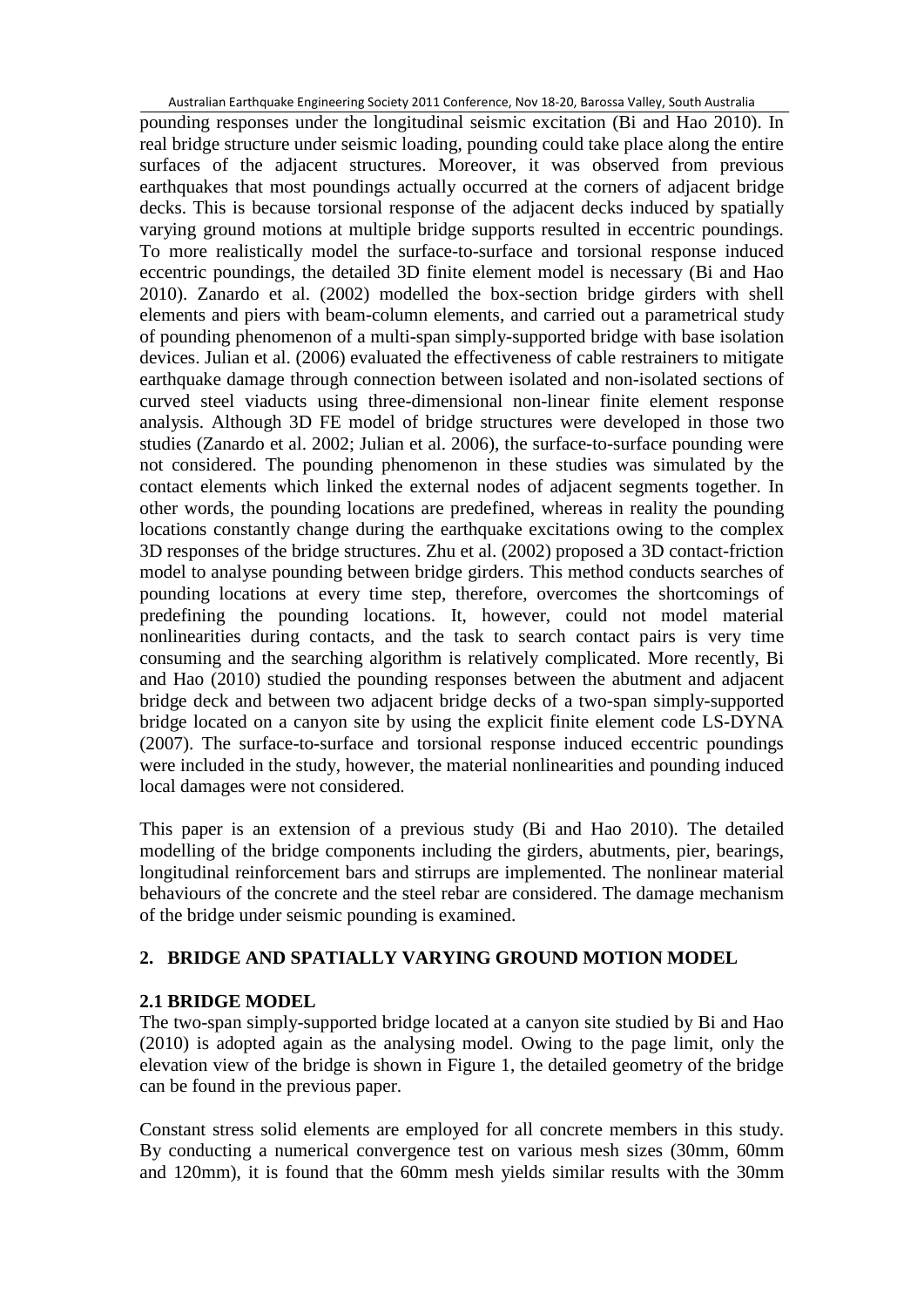pounding responses under the longitudinal seismic excitation (Bi and Hao 2010). In real bridge structure under seismic loading, pounding could take place along the entire surfaces of the adjacent structures. Moreover, it was observed from previous earthquakes that most poundings actually occurred at the corners of adjacent bridge decks. This is because torsional response of the adjacent decks induced by spatially varying ground motions at multiple bridge supports resulted in eccentric poundings. To more realistically model the surface-to-surface and torsional response induced eccentric poundings, the detailed 3D finite element model is necessary (Bi and Hao 2010). Zanardo et al. (2002) modelled the box-section bridge girders with shell elements and piers with beam-column elements, and carried out a parametrical study of pounding phenomenon of a multi-span simply-supported bridge with base isolation devices. Julian et al. (2006) evaluated the effectiveness of cable restrainers to mitigate earthquake damage through connection between isolated and non-isolated sections of curved steel viaducts using three-dimensional non-linear finite element response analysis. Although 3D FE model of bridge structures were developed in those two studies (Zanardo et al. 2002; Julian et al. 2006), the surface-to-surface pounding were not considered. The pounding phenomenon in these studies was simulated by the contact elements which linked the external nodes of adjacent segments together. In other words, the pounding locations are predefined, whereas in reality the pounding locations constantly change during the earthquake excitations owing to the complex 3D responses of the bridge structures. Zhu et al. (2002) proposed a 3D contact-friction model to analyse pounding between bridge girders. This method conducts searches of pounding locations at every time step, therefore, overcomes the shortcomings of predefining the pounding locations. It, however, could not model material nonlinearities during contacts, and the task to search contact pairs is very time consuming and the searching algorithm is relatively complicated. More recently, Bi and Hao (2010) studied the pounding responses between the abutment and adjacent bridge deck and between two adjacent bridge decks of a two-span simply-supported bridge located on a canyon site by using the explicit finite element code LS-DYNA (2007). The surface-to-surface and torsional response induced eccentric poundings were included in the study, however, the material nonlinearities and pounding induced local damages were not considered.

This paper is an extension of a previous study (Bi and Hao 2010). The detailed modelling of the bridge components including the girders, abutments, pier, bearings, longitudinal reinforcement bars and stirrups are implemented. The nonlinear material behaviours of the concrete and the steel rebar are considered. The damage mechanism of the bridge under seismic pounding is examined.

# **2. BRIDGE AND SPATIALLY VARYING GROUND MOTION MODEL**

# **2.1 BRIDGE MODEL**

The two-span simply-supported bridge located at a canyon site studied by Bi and Hao (2010) is adopted again as the analysing model. Owing to the page limit, only the elevation view of the bridge is shown in Figure 1, the detailed geometry of the bridge can be found in the previous paper.

Constant stress solid elements are employed for all concrete members in this study. By conducting a numerical convergence test on various mesh sizes (30mm, 60mm and 120mm), it is found that the 60mm mesh yields similar results with the 30mm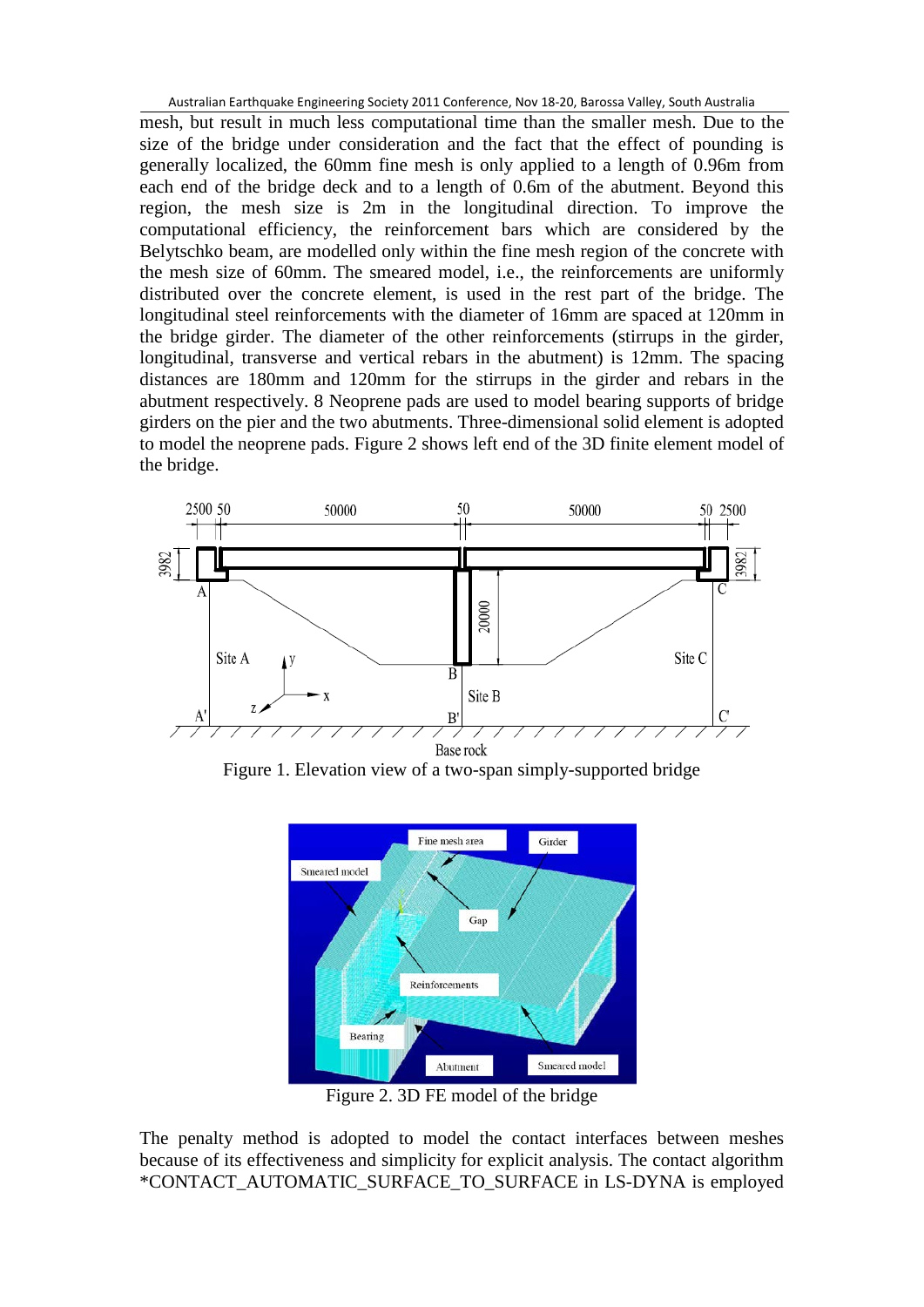mesh, but result in much less computational time than the smaller mesh. Due to the size of the bridge under consideration and the fact that the effect of pounding is generally localized, the 60mm fine mesh is only applied to a length of 0.96m from each end of the bridge deck and to a length of 0.6m of the abutment. Beyond this region, the mesh size is 2m in the longitudinal direction. To improve the computational efficiency, the reinforcement bars which are considered by the Belytschko beam, are modelled only within the fine mesh region of the concrete with the mesh size of 60mm. The smeared model, i.e., the reinforcements are uniformly distributed over the concrete element, is used in the rest part of the bridge. The longitudinal steel reinforcements with the diameter of 16mm are spaced at 120mm in the bridge girder. The diameter of the other reinforcements (stirrups in the girder, longitudinal, transverse and vertical rebars in the abutment) is 12mm. The spacing distances are 180mm and 120mm for the stirrups in the girder and rebars in the abutment respectively. 8 Neoprene pads are used to model bearing supports of bridge girders on the pier and the two abutments. Three-dimensional solid element is adopted to model the neoprene pads. Figure 2 shows left end of the 3D finite element model of the bridge.



Figure 1. Elevation view of a two-span simply-supported bridge



Figure 2. 3D FE model of the bridge

The penalty method is adopted to model the contact interfaces between meshes because of its effectiveness and simplicity for explicit analysis. The contact algorithm \*CONTACT\_AUTOMATIC\_SURFACE\_TO\_SURFACE in LS-DYNA is employed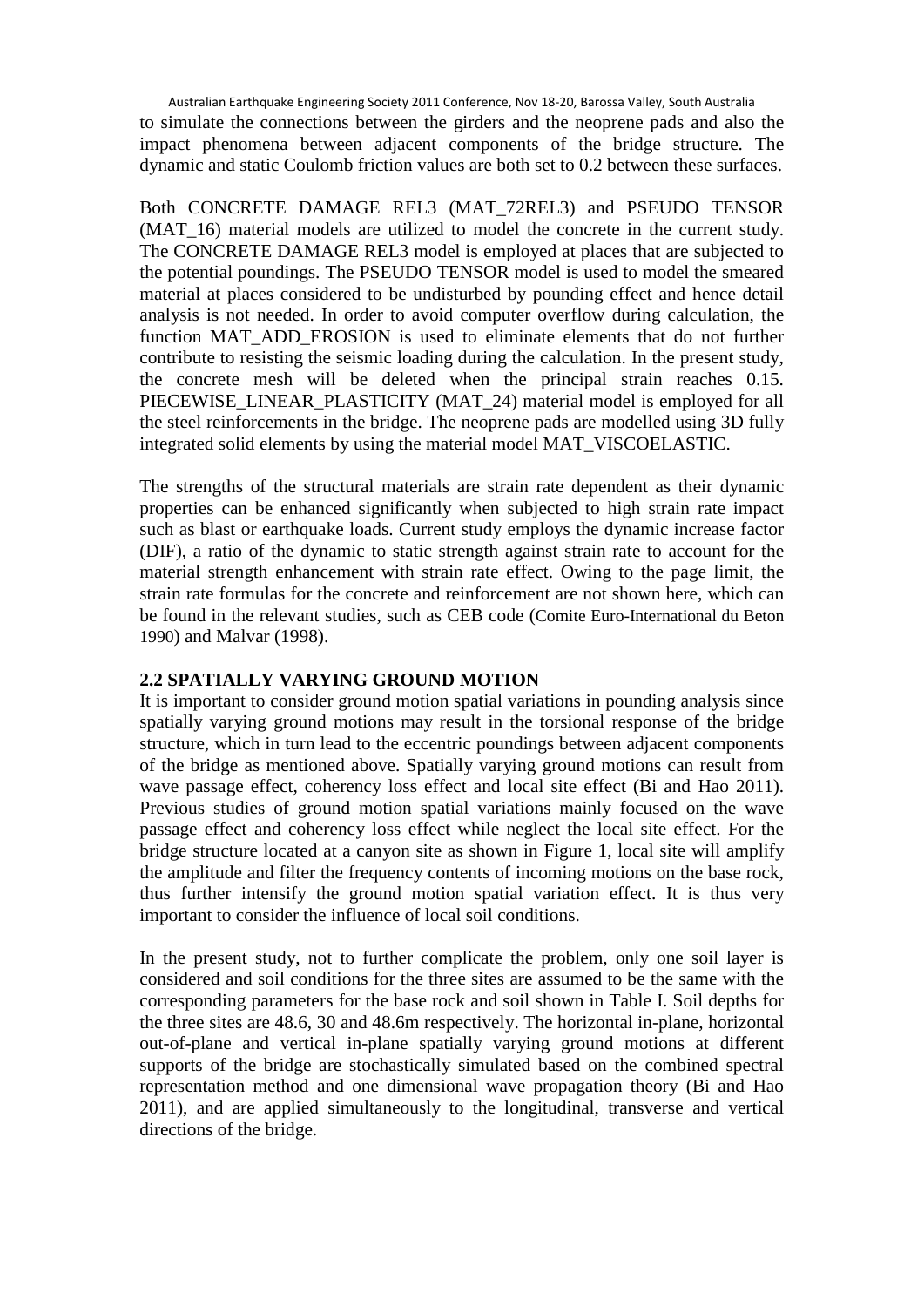to simulate the connections between the girders and the neoprene pads and also the impact phenomena between adjacent components of the bridge structure. The dynamic and static Coulomb friction values are both set to 0.2 between these surfaces.

Both CONCRETE DAMAGE REL3 (MAT\_72REL3) and PSEUDO TENSOR (MAT 16) material models are utilized to model the concrete in the current study. The CONCRETE DAMAGE REL3 model is employed at places that are subjected to the potential poundings. The PSEUDO TENSOR model is used to model the smeared material at places considered to be undisturbed by pounding effect and hence detail analysis is not needed. In order to avoid computer overflow during calculation, the function MAT\_ADD\_EROSION is used to eliminate elements that do not further contribute to resisting the seismic loading during the calculation. In the present study, the concrete mesh will be deleted when the principal strain reaches 0.15. PIECEWISE\_LINEAR\_PLASTICITY (MAT\_24) material model is employed for all the steel reinforcements in the bridge. The neoprene pads are modelled using 3D fully integrated solid elements by using the material model MAT\_VISCOELASTIC.

The strengths of the structural materials are strain rate dependent as their dynamic properties can be enhanced significantly when subjected to high strain rate impact such as blast or earthquake loads. Current study employs the dynamic increase factor (DIF), a ratio of the dynamic to static strength against strain rate to account for the material strength enhancement with strain rate effect. Owing to the page limit, the strain rate formulas for the concrete and reinforcement are not shown here, which can be found in the relevant studies, such as CEB code (Comite Euro-International du Beton 1990) and Malvar (1998).

#### **2.2 SPATIALLY VARYING GROUND MOTION**

It is important to consider ground motion spatial variations in pounding analysis since spatially varying ground motions may result in the torsional response of the bridge structure, which in turn lead to the eccentric poundings between adjacent components of the bridge as mentioned above. Spatially varying ground motions can result from wave passage effect, coherency loss effect and local site effect (Bi and Hao 2011). Previous studies of ground motion spatial variations mainly focused on the wave passage effect and coherency loss effect while neglect the local site effect. For the bridge structure located at a canyon site as shown in Figure 1, local site will amplify the amplitude and filter the frequency contents of incoming motions on the base rock, thus further intensify the ground motion spatial variation effect. It is thus very important to consider the influence of local soil conditions.

In the present study, not to further complicate the problem, only one soil layer is considered and soil conditions for the three sites are assumed to be the same with the corresponding parameters for the base rock and soil shown in Table I. Soil depths for the three sites are 48.6, 30 and 48.6m respectively. The horizontal in-plane, horizontal out-of-plane and vertical in-plane spatially varying ground motions at different supports of the bridge are stochastically simulated based on the combined spectral representation method and one dimensional wave propagation theory (Bi and Hao 2011), and are applied simultaneously to the longitudinal, transverse and vertical directions of the bridge.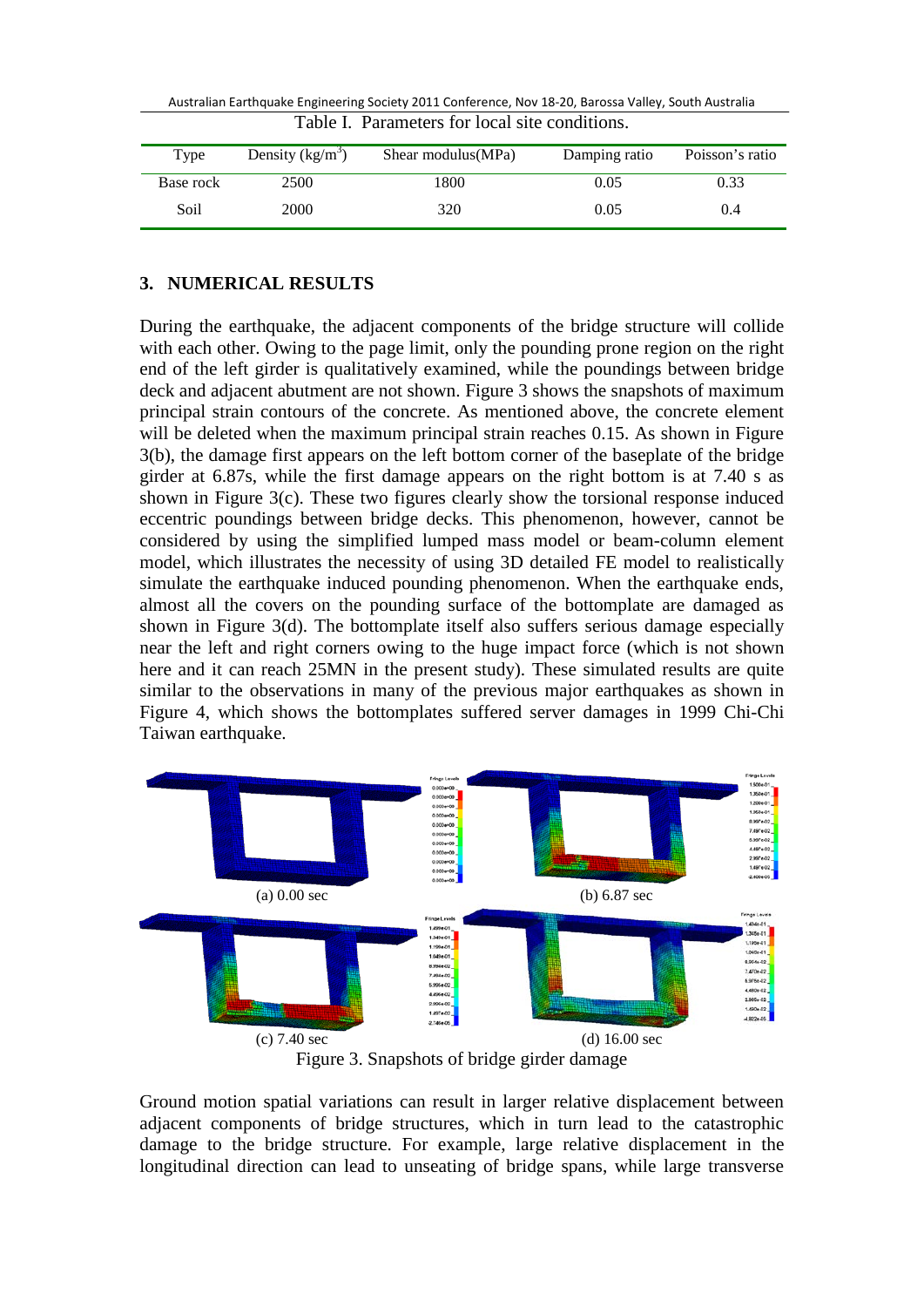| Table I. Parameters for local site conditions. |                    |                     |               |                 |
|------------------------------------------------|--------------------|---------------------|---------------|-----------------|
| Type                                           | Density $(kg/m^3)$ | Shear modulus (MPa) | Damping ratio | Poisson's ratio |
| Base rock                                      | 2500               | 1800                | 0.05          | 0.33            |
| Soil                                           | 2000               | 320                 | 0.05          | 0.4             |

# **3. NUMERICAL RESULTS**

During the earthquake, the adjacent components of the bridge structure will collide with each other. Owing to the page limit, only the pounding prone region on the right end of the left girder is qualitatively examined, while the poundings between bridge deck and adjacent abutment are not shown. Figure 3 shows the snapshots of maximum principal strain contours of the concrete. As mentioned above, the concrete element will be deleted when the maximum principal strain reaches 0.15. As shown in Figure 3(b), the damage first appears on the left bottom corner of the baseplate of the bridge girder at 6.87s, while the first damage appears on the right bottom is at 7.40 s as shown in Figure 3(c). These two figures clearly show the torsional response induced eccentric poundings between bridge decks. This phenomenon, however, cannot be considered by using the simplified lumped mass model or beam-column element model, which illustrates the necessity of using 3D detailed FE model to realistically simulate the earthquake induced pounding phenomenon. When the earthquake ends, almost all the covers on the pounding surface of the bottomplate are damaged as shown in Figure 3(d). The bottomplate itself also suffers serious damage especially near the left and right corners owing to the huge impact force (which is not shown here and it can reach 25MN in the present study). These simulated results are quite similar to the observations in many of the previous major earthquakes as shown in Figure 4, which shows the bottomplates suffered server damages in 1999 Chi-Chi Taiwan earthquake.



Ground motion spatial variations can result in larger relative displacement between adjacent components of bridge structures, which in turn lead to the catastrophic damage to the bridge structure. For example, large relative displacement in the longitudinal direction can lead to unseating of bridge spans, while large transverse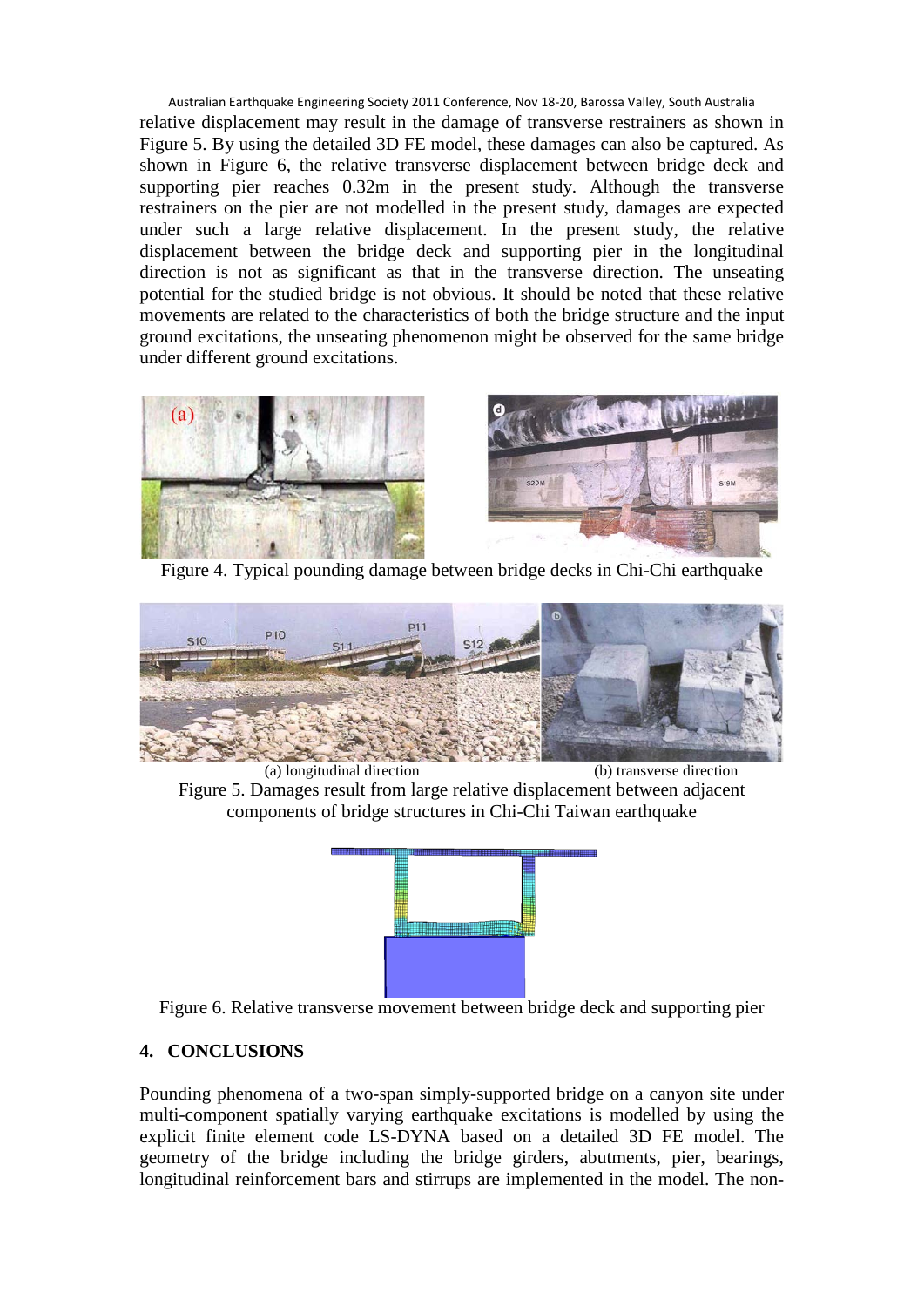relative displacement may result in the damage of transverse restrainers as shown in Figure 5. By using the detailed 3D FE model, these damages can also be captured. As shown in Figure 6, the relative transverse displacement between bridge deck and supporting pier reaches 0.32m in the present study. Although the transverse restrainers on the pier are not modelled in the present study, damages are expected under such a large relative displacement. In the present study, the relative displacement between the bridge deck and supporting pier in the longitudinal direction is not as significant as that in the transverse direction. The unseating potential for the studied bridge is not obvious. It should be noted that these relative movements are related to the characteristics of both the bridge structure and the input ground excitations, the unseating phenomenon might be observed for the same bridge under different ground excitations.



Figure 4. Typical pounding damage between bridge decks in Chi-Chi earthquake



 (a) longitudinal direction (b) transverse direction Figure 5. Damages result from large relative displacement between adjacent components of bridge structures in Chi-Chi Taiwan earthquake



Figure 6. Relative transverse movement between bridge deck and supporting pier

# **4. CONCLUSIONS**

Pounding phenomena of a two-span simply-supported bridge on a canyon site under multi-component spatially varying earthquake excitations is modelled by using the explicit finite element code LS-DYNA based on a detailed 3D FE model. The geometry of the bridge including the bridge girders, abutments, pier, bearings, longitudinal reinforcement bars and stirrups are implemented in the model. The non-